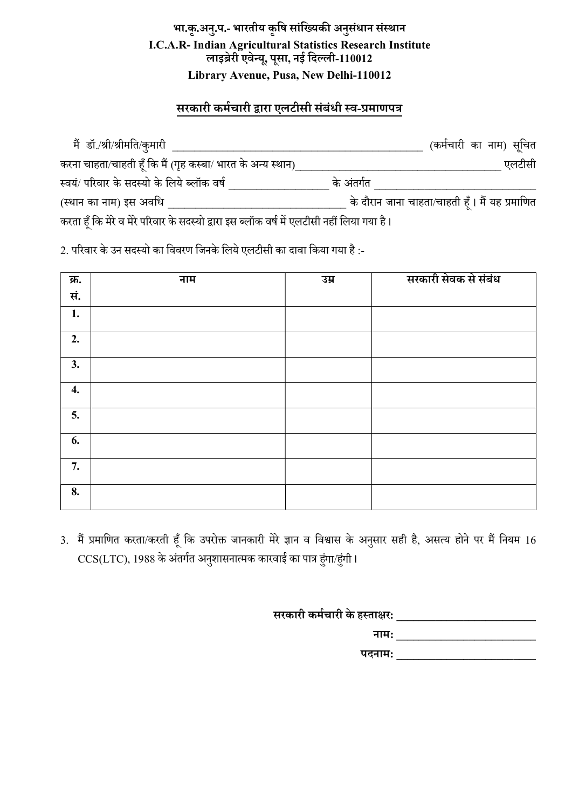## भा.कृ.अनु.प.- भारतीय कृषि सांख्यिकी अनुसंधान संस्थान I.C.A.R- Indian Agricultural Statistics Research Institute<br>लाइब्रेरी एवेन्यू, पूसा, नई दिल्ली-110012 Library Avenue, Pusa, New Delhi-110012

## <u>सरकारी कर्मचारी द्वारा ए</u>लटीसी संबंधी स्व-प्रमाणपत्र

| मैं डॉ./श्री/श्रीमति/कुमारी                                                                |            | (कर्मचारी का नाम) सूचित                        |
|--------------------------------------------------------------------------------------------|------------|------------------------------------------------|
| करना चाहता/चाहती हूँ कि मैं (गृह कस्बा/ भारत के अन्य स्थान)_                               |            | एलटीसी                                         |
| स्वयं/ परिवार के सदस्यो के लिये ब्लॉक वर्ष                                                 | के अंतर्गत |                                                |
| (स्थान का नाम) इस अवधि                                                                     |            | के दौरान जाना चाहता/चाहती हूँ। मैं यह प्रमाणित |
| करता हूँ कि मेरे व मेरे परिवार के सदस्यो द्वारा इस ब्लॉक वर्ष में एलटीसी नहीं लिया गया है। |            |                                                |

2. परिवार के उन सदस्यो का विवरण जिनके लिये एलटीसी का दावा किया गया है :-

| क्र. | नाम | उम्र | सरकारी सेवक से संबंध |
|------|-----|------|----------------------|
| सं.  |     |      |                      |
| 1.   |     |      |                      |
| 2.   |     |      |                      |
| 3.   |     |      |                      |
| 4.   |     |      |                      |
| 5.   |     |      |                      |
| 6.   |     |      |                      |
| 7.   |     |      |                      |
| 8.   |     |      |                      |

3. मैं प्रमाणित करता/करती हूँ कि उपरोक्त जानकारी मेरे ज्ञान व विश्वास के अनुसार सही है, असत्य होने पर मैं नियम 16  $\mathrm{CCS(LTC)}$ , 1988 के अंतर्गत अनुशासनात्मक कारवाई का पात्र हुंगा/हुंगी।

| सरकारी कर्मचारी के हस्ताक्षर: |
|-------------------------------|
| नाम:                          |
| पदनाम:                        |